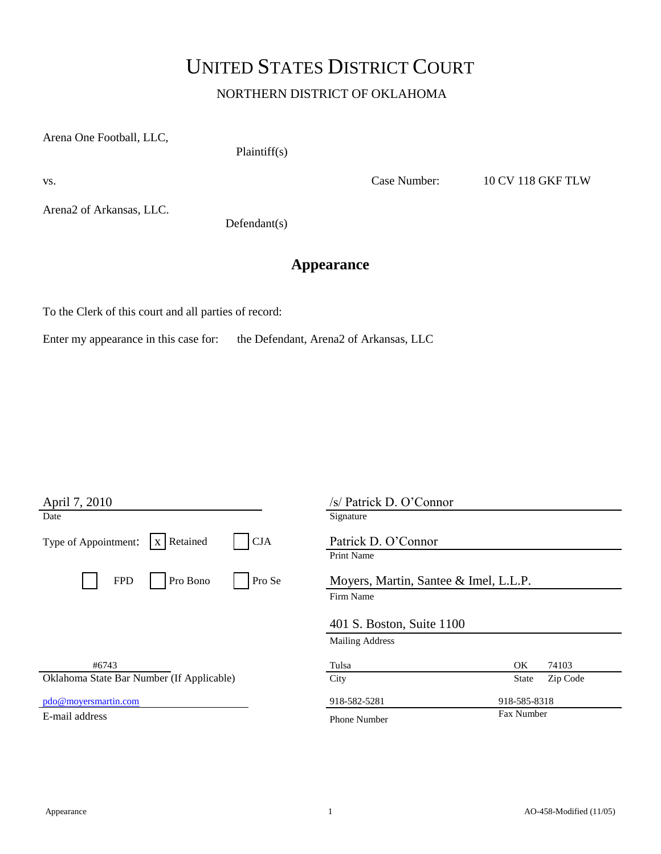## UNITED STATES DISTRICT COURT

NORTHERN DISTRICT OF OKLAHOMA

Arena One Football, LLC,

Plaintiff(s)

vs. Case Number: 10 CV 118 GKF TLW

Arena2 of Arkansas, LLC.

Defendant(s)

## **Appearance**

To the Clerk of this court and all parties of record:

Enter my appearance in this case for: the Defendant, Arena2 of Arkansas, LLC

| April 7, 2010                                    | /s/ Patrick D. O'Connor               |
|--------------------------------------------------|---------------------------------------|
| Date                                             | Signature                             |
| x Retained<br>Type of Appointment:<br><b>CJA</b> | Patrick D. O'Connor                   |
|                                                  | Print Name                            |
| Pro Se<br>Pro Bono<br><b>FPD</b>                 | Moyers, Martin, Santee & Imel, L.L.P. |
|                                                  | Firm Name                             |
|                                                  | 401 S. Boston, Suite 1100             |
|                                                  | <b>Mailing Address</b>                |
| #6743                                            | OK<br>74103<br>Tulsa                  |
| Oklahoma State Bar Number (If Applicable)        | City<br>Zip Code<br>State             |
| pdo@moyersmartin.com                             | 918-582-5281<br>918-585-8318          |
| E-mail address                                   | Fax Number<br><b>Phone Number</b>     |